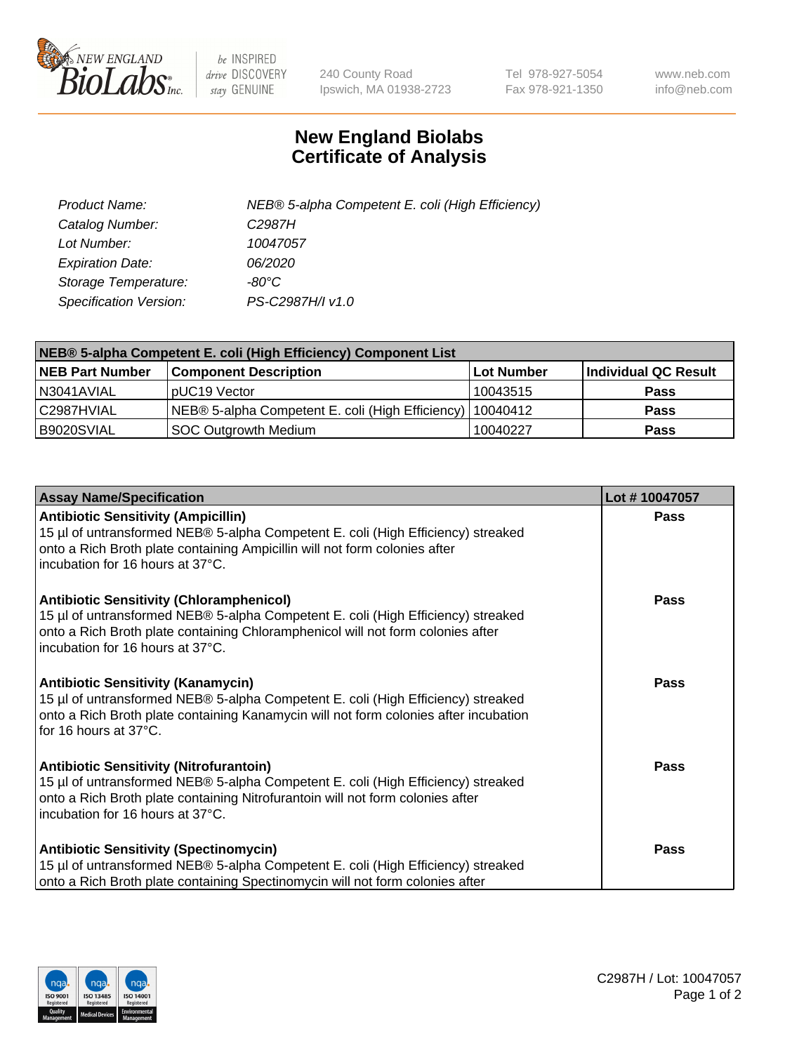

 $be$  INSPIRED drive DISCOVERY stay GENUINE

240 County Road Ipswich, MA 01938-2723 Tel 978-927-5054 Fax 978-921-1350 www.neb.com info@neb.com

## **New England Biolabs Certificate of Analysis**

| Product Name:           | NEB® 5-alpha Competent E. coli (High Efficiency) |
|-------------------------|--------------------------------------------------|
| Catalog Number:         | C <sub>2987</sub> H                              |
| Lot Number:             | 10047057                                         |
| <b>Expiration Date:</b> | 06/2020                                          |
| Storage Temperature:    | -80°C                                            |
| Specification Version:  | PS-C2987H/I v1.0                                 |

| NEB® 5-alpha Competent E. coli (High Efficiency) Component List |                                                             |            |                      |  |
|-----------------------------------------------------------------|-------------------------------------------------------------|------------|----------------------|--|
| <b>NEB Part Number</b>                                          | <b>Component Description</b>                                | Lot Number | Individual QC Result |  |
| N3041AVIAL                                                      | pUC19 Vector                                                | 10043515   | <b>Pass</b>          |  |
| C2987HVIAL                                                      | NEB® 5-alpha Competent E. coli (High Efficiency)   10040412 |            | <b>Pass</b>          |  |
| B9020SVIAL                                                      | <b>SOC Outgrowth Medium</b>                                 | 10040227   | <b>Pass</b>          |  |

| <b>Assay Name/Specification</b>                                                                                                                                                                                                                            | Lot #10047057 |
|------------------------------------------------------------------------------------------------------------------------------------------------------------------------------------------------------------------------------------------------------------|---------------|
| <b>Antibiotic Sensitivity (Ampicillin)</b><br>15 µl of untransformed NEB® 5-alpha Competent E. coli (High Efficiency) streaked<br>onto a Rich Broth plate containing Ampicillin will not form colonies after<br>incubation for 16 hours at 37°C.           | <b>Pass</b>   |
| <b>Antibiotic Sensitivity (Chloramphenicol)</b><br>15 µl of untransformed NEB® 5-alpha Competent E. coli (High Efficiency) streaked<br>onto a Rich Broth plate containing Chloramphenicol will not form colonies after<br>incubation for 16 hours at 37°C. | Pass          |
| Antibiotic Sensitivity (Kanamycin)<br>15 µl of untransformed NEB® 5-alpha Competent E. coli (High Efficiency) streaked<br>onto a Rich Broth plate containing Kanamycin will not form colonies after incubation<br>for 16 hours at 37°C.                    | Pass          |
| <b>Antibiotic Sensitivity (Nitrofurantoin)</b><br>15 µl of untransformed NEB® 5-alpha Competent E. coli (High Efficiency) streaked<br>onto a Rich Broth plate containing Nitrofurantoin will not form colonies after<br>incubation for 16 hours at 37°C.   | <b>Pass</b>   |
| <b>Antibiotic Sensitivity (Spectinomycin)</b><br>15 µl of untransformed NEB® 5-alpha Competent E. coli (High Efficiency) streaked<br>onto a Rich Broth plate containing Spectinomycin will not form colonies after                                         | Pass          |